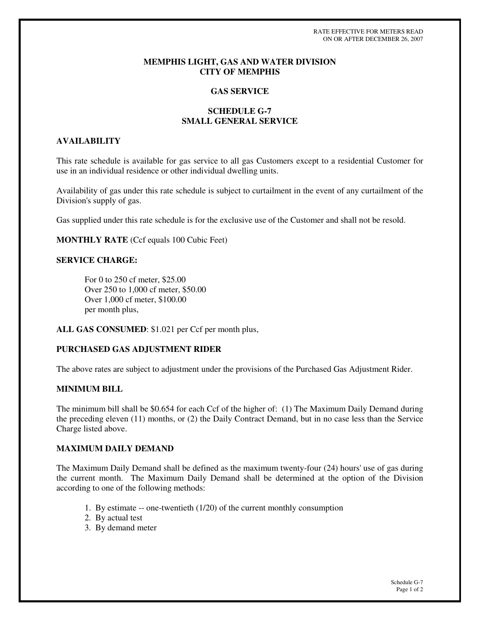RATE EFFECTIVE FOR METERS READ ON OR AFTER DECEMBER 26, 2007

### **MEMPHIS LIGHT, GAS AND WATER DIVISION CITY OF MEMPHIS**

#### **GAS SERVICE**

## **SCHEDULE G-7 SMALL GENERAL SERVICE**

#### **AVAILABILITY**

This rate schedule is available for gas service to all gas Customers except to a residential Customer for use in an individual residence or other individual dwelling units.

Availability of gas under this rate schedule is subject to curtailment in the event of any curtailment of the Division's supply of gas.

Gas supplied under this rate schedule is for the exclusive use of the Customer and shall not be resold.

**MONTHLY RATE** (Ccf equals 100 Cubic Feet)

### **SERVICE CHARGE:**

For 0 to 250 cf meter, \$25.00 Over 250 to 1,000 cf meter, \$50.00 Over 1,000 cf meter, \$100.00 per month plus,

**ALL GAS CONSUMED**: \$1.021 per Ccf per month plus,

## **PURCHASED GAS ADJUSTMENT RIDER**

The above rates are subject to adjustment under the provisions of the Purchased Gas Adjustment Rider.

# **MINIMUM BILL**

The minimum bill shall be \$0.654 for each Ccf of the higher of: (1) The Maximum Daily Demand during the preceding eleven (11) months, or (2) the Daily Contract Demand, but in no case less than the Service Charge listed above.

# **MAXIMUM DAILY DEMAND**

The Maximum Daily Demand shall be defined as the maximum twenty-four (24) hours' use of gas during the current month. The Maximum Daily Demand shall be determined at the option of the Division according to one of the following methods:

- 1. By estimate -- one-twentieth (1/20) of the current monthly consumption
- 2. By actual test
- 3. By demand meter